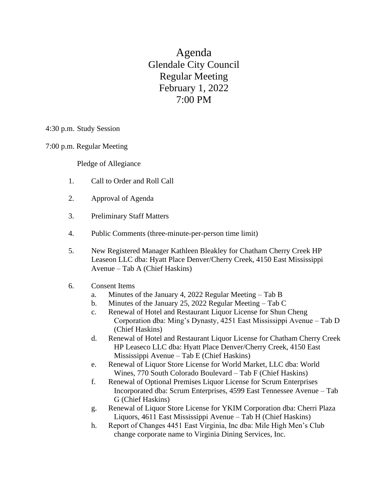Agenda Glendale City Council Regular Meeting February 1, 2022 7:00 PM

4:30 p.m. Study Session

7:00 p.m. Regular Meeting

Pledge of Allegiance

- 1. Call to Order and Roll Call
- 2. Approval of Agenda
- 3. Preliminary Staff Matters
- 4. Public Comments (three-minute-per-person time limit)
- 5. New Registered Manager Kathleen Bleakley for Chatham Cherry Creek HP Leaseon LLC dba: Hyatt Place Denver/Cherry Creek, 4150 East Mississippi Avenue – Tab A (Chief Haskins)

## 6. Consent Items

- a. Minutes of the January 4, 2022 Regular Meeting Tab B
- b. Minutes of the January 25, 2022 Regular Meeting Tab C
- c. Renewal of Hotel and Restaurant Liquor License for Shun Cheng Corporation dba: Ming's Dynasty, 4251 East Mississippi Avenue – Tab D (Chief Haskins)
- d. Renewal of Hotel and Restaurant Liquor License for Chatham Cherry Creek HP Leaseco LLC dba: Hyatt Place Denver/Cherry Creek, 4150 East Mississippi Avenue – Tab E (Chief Haskins)
- e. Renewal of Liquor Store License for World Market, LLC dba: World Wines, 770 South Colorado Boulevard – Tab F (Chief Haskins)
- f. Renewal of Optional Premises Liquor License for Scrum Enterprises Incorporated dba: Scrum Enterprises, 4599 East Tennessee Avenue – Tab G (Chief Haskins)
- g. Renewal of Liquor Store License for YKIM Corporation dba: Cherri Plaza Liquors, 4611 East Mississippi Avenue – Tab H (Chief Haskins)
- h. Report of Changes 4451 East Virginia, Inc dba: Mile High Men's Club change corporate name to Virginia Dining Services, Inc.